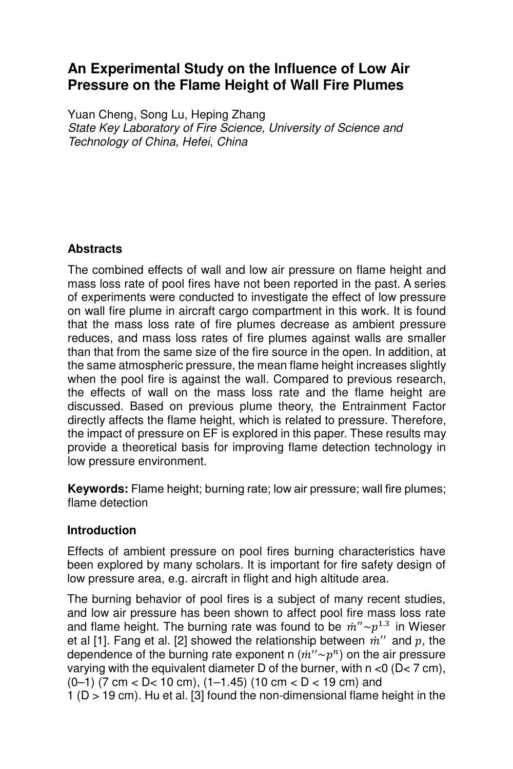# **An Experimental Study on the Influence of Low Air Pressure on the Flame Height of Wall Fire Plumes**

Yuan Cheng, Song Lu, Heping Zhang State Key Laboratory of Fire Science, University of Science and Technology of China, Hefei, China

# **Abstracts**

The combined effects of wall and low air pressure on flame height and mass loss rate of pool fires have not been reported in the past. A series of experiments were conducted to investigate the effect of low pressure on wall fire plume in aircraft cargo compartment in this work. It is found that the mass loss rate of fire plumes decrease as ambient pressure reduces, and mass loss rates of fire plumes against walls are smaller than that from the same size of the fire source in the open. In addition, at the same atmospheric pressure, the mean flame height increases slightly when the pool fire is against the wall. Compared to previous research, the effects of wall on the mass loss rate and the flame height are discussed. Based on previous plume theory, the Entrainment Factor directly affects the flame height, which is related to pressure. Therefore, the impact of pressure on EF is explored in this paper. These results may provide a theoretical basis for improving flame detection technology in low pressure environment.

**Keywords:** Flame height; burning rate; low air pressure; wall fire plumes; flame detection

## **Introduction**

Effects of ambient pressure on pool fires burning characteristics have been explored by many scholars. It is important for fire safety design of low pressure area, e.g. aircraft in flight and high altitude area.

The burning behavior of pool fires is a subject of many recent studies, and low air pressure has been shown to affect pool fire mass loss rate and flame height. The burning rate was found to be  $\dot{m}'' \sim p^{1.3}$  in Wieser et al [1]. Fang et al. [2] showed the relationship between  $\dot{m}''$  and  $p$ , the dependence of the burning rate exponent n  $(\dot{m}'' \sim p^n)$  on the air pressure varying with the equivalent diameter D of the burner, with  $n < 0$  (D $< 7$  cm), (0–1) (7 cm < D< 10 cm), (1–1.45) (10 cm < D < 19 cm) and 1 (D > 19 cm). Hu et al. [3] found the non-dimensional flame height in the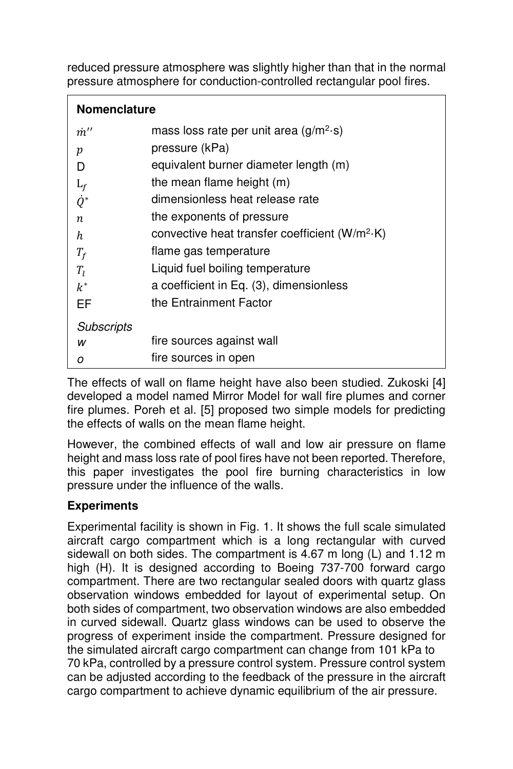reduced pressure atmosphere was slightly higher than that in the normal pressure atmosphere for conduction-controlled rectangular pool fires.

| Nomenclature |
|--------------|
|--------------|

| $\dot{m}^{\prime\prime}$ | mass loss rate per unit area (g/m <sup>2</sup> ·s) |
|--------------------------|----------------------------------------------------|
| p                        | pressure (kPa)                                     |
| D                        | equivalent burner diameter length (m)              |
| $L_f$                    | the mean flame height (m)                          |
| $\dot{Q}^*$              | dimensionless heat release rate                    |
| $\boldsymbol{n}$         | the exponents of pressure                          |
| h                        | convective heat transfer coefficient $(W/m^2·K)$   |
| $T_f$                    | flame gas temperature                              |
| $T_I$                    | Liquid fuel boiling temperature                    |
| $k^*$                    | a coefficient in Eq. (3), dimensionless            |
| EF                       | the Entrainment Factor                             |
| <b>Subscripts</b>        |                                                    |
| w                        | fire sources against wall                          |
| ο                        | fire sources in open                               |
|                          |                                                    |

The effects of wall on flame height have also been studied. Zukoski [4] developed a model named Mirror Model for wall fire plumes and corner fire plumes. Poreh et al. [5] proposed two simple models for predicting the effects of walls on the mean flame height.

However, the combined effects of wall and low air pressure on flame height and mass loss rate of pool fires have not been reported. Therefore, this paper investigates the pool fire burning characteristics in low pressure under the influence of the walls.

## **Experiments**

Experimental facility is shown in Fig. 1. It shows the full scale simulated aircraft cargo compartment which is a long rectangular with curved sidewall on both sides. The compartment is 4.67 m long (L) and 1.12 m high (H). It is designed according to Boeing 737-700 forward cargo compartment. There are two rectangular sealed doors with quartz glass observation windows embedded for layout of experimental setup. On both sides of compartment, two observation windows are also embedded in curved sidewall. Quartz glass windows can be used to observe the progress of experiment inside the compartment. Pressure designed for the simulated aircraft cargo compartment can change from 101 kPa to 70 kPa, controlled by a pressure control system. Pressure control system can be adjusted according to the feedback of the pressure in the aircraft cargo compartment to achieve dynamic equilibrium of the air pressure.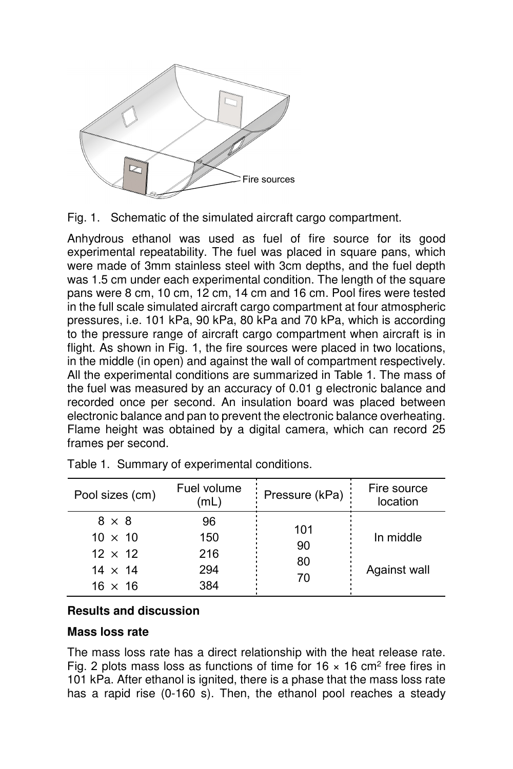

Fig. 1. Schematic of the simulated aircraft cargo compartment.

Anhydrous ethanol was used as fuel of fire source for its good experimental repeatability. The fuel was placed in square pans, which were made of 3mm stainless steel with 3cm depths, and the fuel depth was 1.5 cm under each experimental condition. The length of the square pans were 8 cm, 10 cm, 12 cm, 14 cm and 16 cm. Pool fires were tested in the full scale simulated aircraft cargo compartment at four atmospheric pressures, i.e. 101 kPa, 90 kPa, 80 kPa and 70 kPa, which is according to the pressure range of aircraft cargo compartment when aircraft is in flight. As shown in Fig. 1, the fire sources were placed in two locations, in the middle (in open) and against the wall of compartment respectively. All the experimental conditions are summarized in Table 1. The mass of the fuel was measured by an accuracy of 0.01 g electronic balance and recorded once per second. An insulation board was placed between electronic balance and pan to prevent the electronic balance overheating. Flame height was obtained by a digital camera, which can record 25 frames per second.

| Pool sizes (cm)                                                                      | Fuel volume<br>'mL             | Pressure (kPa)        | Fire source<br>location   |
|--------------------------------------------------------------------------------------|--------------------------------|-----------------------|---------------------------|
| $8 \times 8$<br>$10 \times 10$<br>$12 \times 12$<br>$14 \times 14$<br>$16 \times 16$ | 96<br>150<br>216<br>294<br>384 | 101<br>90<br>80<br>70 | In middle<br>Against wall |

Table 1. Summary of experimental conditions.

#### **Results and discussion**

#### **Mass loss rate**

The mass loss rate has a direct relationship with the heat release rate. Fig. 2 plots mass loss as functions of time for  $16 \times 16$  cm<sup>2</sup> free fires in 101 kPa. After ethanol is ignited, there is a phase that the mass loss rate has a rapid rise (0-160 s). Then, the ethanol pool reaches a steady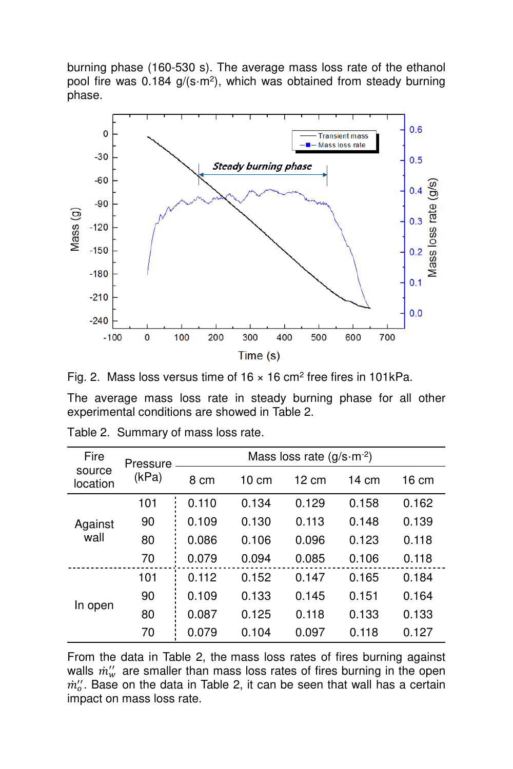burning phase (160-530 s). The average mass loss rate of the ethanol pool fire was  $0.184$  g/(s $\cdot$ m<sup>2</sup>), which was obtained from steady burning phase.



Fig. 2. Mass loss versus time of  $16 \times 16$  cm<sup>2</sup> free fires in 101kPa.

The average mass loss rate in steady burning phase for all other experimental conditions are showed in Table 2.

| Fire               | Pressure | Mass loss rate $(g/s \cdot m^{-2})$ |                 |                 |       |       |
|--------------------|----------|-------------------------------------|-----------------|-----------------|-------|-------|
| source<br>location | (kPa)    | 8 cm                                | $10 \text{ cm}$ | $12 \text{ cm}$ | 14 cm | 16 cm |
| Against<br>wall    | 101      | 0.110                               | 0.134           | 0.129           | 0.158 | 0.162 |
|                    | 90       | 0.109                               | 0.130           | 0.113           | 0.148 | 0.139 |
|                    | 80       | 0.086                               | 0.106           | 0.096           | 0.123 | 0.118 |
|                    | 70       | 0.079                               | 0.094           | 0.085           | 0.106 | 0.118 |
| In open            | 101      | 0.112                               | 0.152           | 0.147           | 0.165 | 0.184 |
|                    | 90       | 0.109                               | 0.133           | 0.145           | 0.151 | 0.164 |
|                    | 80       | 0.087                               | 0.125           | 0.118           | 0.133 | 0.133 |
|                    | 70       | 0.079                               | 0.104           | 0.097           | 0.118 | 0.127 |

| Table 2. Summary of mass loss rate. |  |  |  |
|-------------------------------------|--|--|--|
|-------------------------------------|--|--|--|

From the data in Table 2, the mass loss rates of fires burning against walls  $\dot{m}^{\prime\prime}_w$  are smaller than mass loss rates of fires burning in the open  $m''_o$ . Base on the data in Table 2, it can be seen that wall has a certain impact on mass loss rate.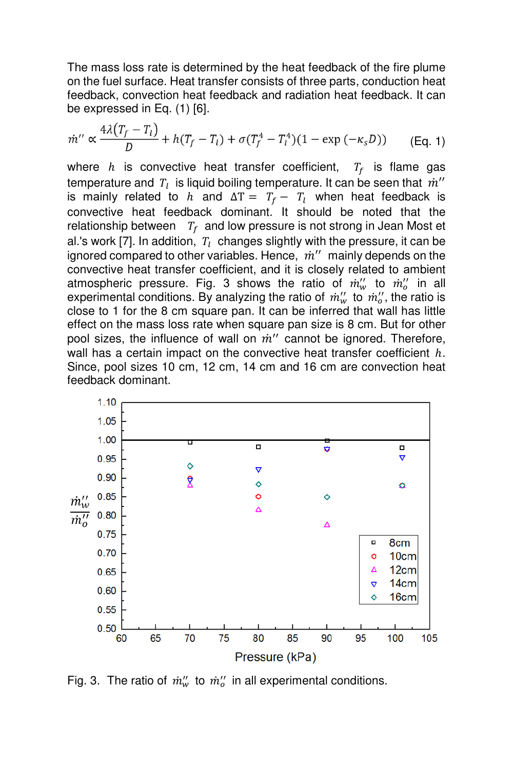The mass loss rate is determined by the heat feedback of the fire plume on the fuel surface. Heat transfer consists of three parts, conduction heat feedback, convection heat feedback and radiation heat feedback. It can be expressed in Eq. (1) [6].

$$
\dot{m}'' \propto \frac{4\lambda (T_f - T_l)}{D} + h(T_f - T_l) + \sigma (T_f^4 - T_l^4)(1 - \exp(-\kappa_s D)) \qquad \text{(Eq. 1)}
$$

where  $h$  is convective heat transfer coefficient,  $T_f$  is flame gas temperature and  $\vert T_l \vert$  is liquid boiling temperature. It can be seen that  $\vert \dot{m}^{\prime\prime} \vert$ is mainly related to  $h$  and  $\Delta T = T_f - T_l$  when heat feedback is convective heat feedback dominant. It should be noted that the relationship between  $T_f$  and low pressure is not strong in Jean Most et al.'s work [7]. In addition,  $\,T_{l}\,$  changes slightly with the pressure, it can be ignored compared to other variables. Hence,  $\dot{m}''$  mainly depends on the convective heat transfer coefficient, and it is closely related to ambient atmospheric pressure. Fig. 3 shows the ratio of  $\dot{m}''_w$  to  $\dot{m}''_o$  in all experimental conditions. By analyzing the ratio of  $\dot{m}_w''$  to  $\dot{m}_o''$ , the ratio is close to 1 for the 8 cm square pan. It can be inferred that wall has little effect on the mass loss rate when square pan size is 8 cm. But for other pool sizes, the influence of wall on  $\dot{m}''$  cannot be ignored. Therefore, wall has a certain impact on the convective heat transfer coefficient  $h$ . Since, pool sizes 10 cm, 12 cm, 14 cm and 16 cm are convection heat feedback dominant.



Fig. 3. The ratio of  $\dot{m}_w''$  to  $\dot{m}_o''$  in all experimental conditions.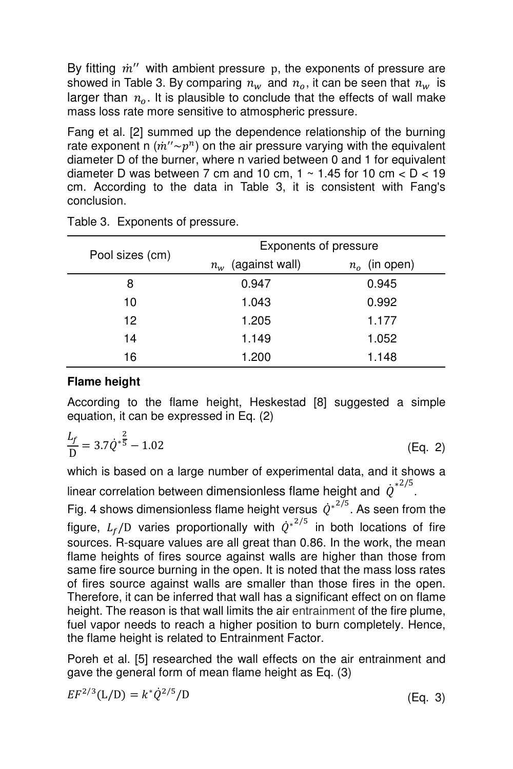By fitting  $m''$  with ambient pressure  $p$ , the exponents of pressure are showed in Table 3. By comparing  $n_w$  and  $n_o$ , it can be seen that  $n_w$  is larger than  $n_a$ . It is plausible to conclude that the effects of wall make mass loss rate more sensitive to atmospheric pressure.

Fang et al. [2] summed up the dependence relationship of the burning rate exponent n  $(\dot{m}'' \sim p^n)$  on the air pressure varying with the equivalent diameter D of the burner, where n varied between 0 and 1 for equivalent diameter D was between 7 cm and 10 cm,  $1 \sim 1.45$  for 10 cm  $\lt D \lt 19$ cm. According to the data in Table 3, it is consistent with Fang's conclusion.

|                 | Exponents of pressure |                 |  |  |
|-----------------|-----------------------|-----------------|--|--|
| Pool sizes (cm) | $n_w$ (against wall)  | $n_o$ (in open) |  |  |
| 8               | 0.947                 | 0.945           |  |  |
| 10              | 1.043                 | 0.992           |  |  |
| 12              | 1.205                 | 1.177           |  |  |
| 14              | 1.149                 | 1.052           |  |  |
| 16              | 1.200                 | 1.148           |  |  |

Table 3. Exponents of pressure.

# **Flame height**

According to the flame height, Heskestad [8] suggested a simple equation, it can be expressed in Eq. (2)

$$
\frac{L_f}{D} = 3.7 \dot{Q}^{*\frac{2}{5}} - 1.02
$$
 (Eq. 2)

which is based on a large number of experimental data, and it shows a linear correlation between dimensionless flame height and  $\dot{\boldsymbol{Q}}^{*2/5}$ .

Fig. 4 shows dimensionless flame height versus  $\hat{Q}^{*^{2/5}}$ . As seen from the figure,  $L_f$ /D varies proportionally with  $\dot Q^{*^{2/5}}$  in both locations of fire sources. R-square values are all great than 0.86. In the work, the mean flame heights of fires source against walls are higher than those from same fire source burning in the open. It is noted that the mass loss rates of fires source against walls are smaller than those fires in the open. Therefore, it can be inferred that wall has a significant effect on on flame height. The reason is that wall limits the air entrainment of the fire plume, fuel vapor needs to reach a higher position to burn completely. Hence, the flame height is related to Entrainment Factor.

Poreh et al. [5] researched the wall effects on the air entrainment and gave the general form of mean flame height as Eq. (3)

$$
EF^{2/3}(L/D) = k^* \dot{Q}^{2/5}/D
$$

 $(Eq. 3)$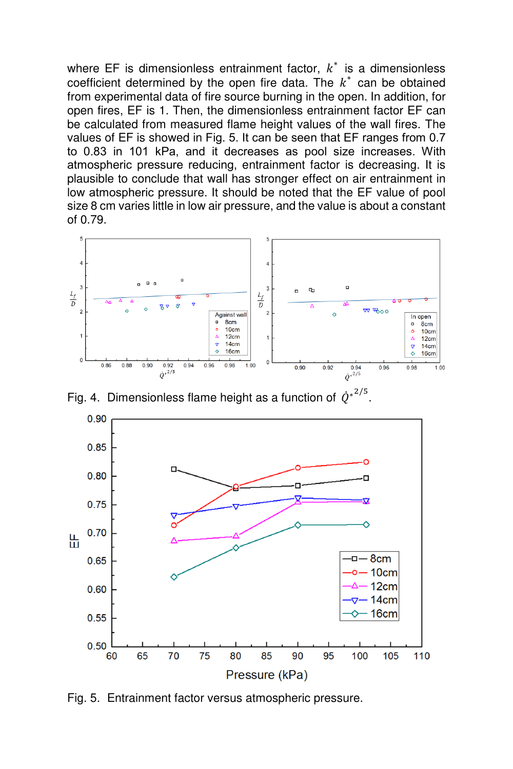where EF is dimensionless entrainment factor,  $k^*$  is a dimensionless coefficient determined by the open fire data. The  $k^*$  can be obtained from experimental data of fire source burning in the open. In addition, for open fires, EF is 1. Then, the dimensionless entrainment factor EF can be calculated from measured flame height values of the wall fires. The values of EF is showed in Fig. 5. It can be seen that EF ranges from 0.7 to 0.83 in 101 kPa, and it decreases as pool size increases. With atmospheric pressure reducing, entrainment factor is decreasing. It is plausible to conclude that wall has stronger effect on air entrainment in low atmospheric pressure. It should be noted that the EF value of pool size 8 cm varies little in low air pressure, and the value is about a constant of 0.79.



Fig. 4. Dimensionless flame height as a function of  $\vec{Q}^{*2/5}$ .



Fig. 5. Entrainment factor versus atmospheric pressure.